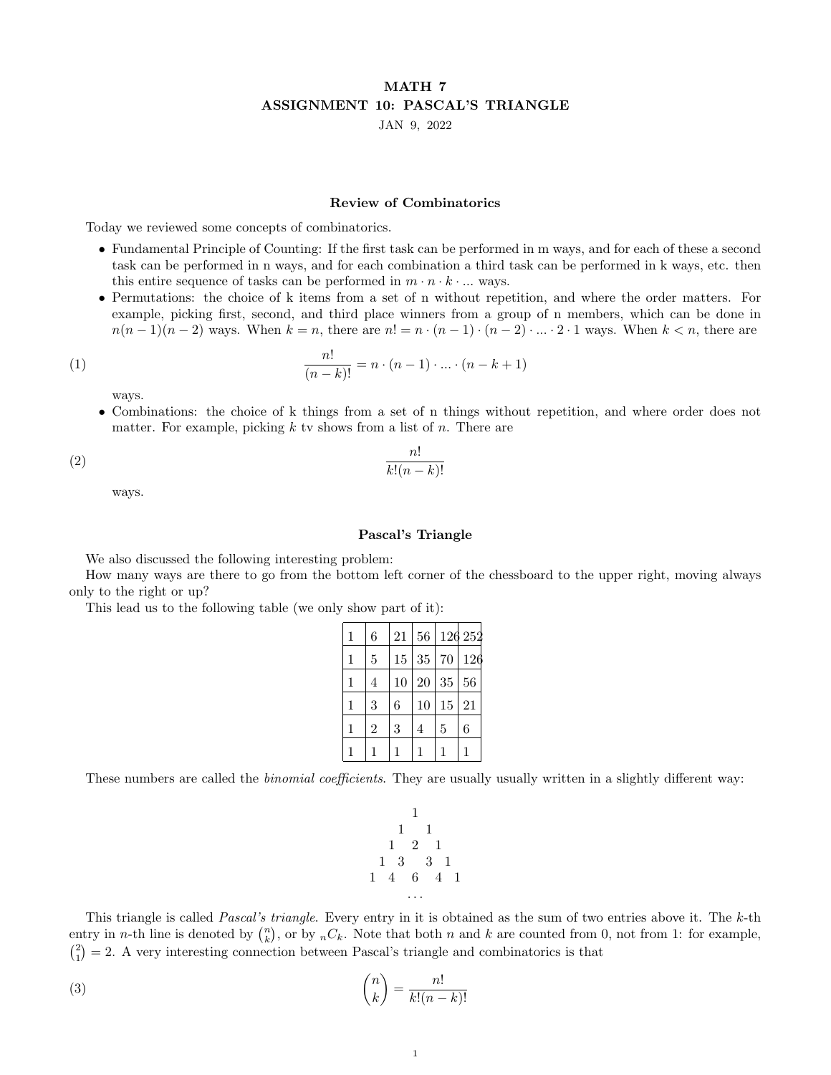## MATH 7 ASSIGNMENT 10: PASCAL'S TRIANGLE

JAN 9, 2022

## Review of Combinatorics

Today we reviewed some concepts of combinatorics.

- Fundamental Principle of Counting: If the first task can be performed in m ways, and for each of these a second task can be performed in n ways, and for each combination a third task can be performed in k ways, etc. then this entire sequence of tasks can be performed in  $m \cdot n \cdot k \cdot ...$  ways.
- Permutations: the choice of k items from a set of n without repetition, and where the order matters. For example, picking first, second, and third place winners from a group of n members, which can be done in  $n(n-1)(n-2)$  ways. When  $k = n$ , there are  $n! = n \cdot (n-1) \cdot (n-2) \cdot ... \cdot 2 \cdot 1$  ways. When  $k < n$ , there are

(1) 
$$
\frac{n!}{(n-k)!} = n \cdot (n-1) \cdot ... \cdot (n-k+1)
$$

ways.

• Combinations: the choice of k things from a set of n things without repetition, and where order does not matter. For example, picking  $k$  tv shows from a list of  $n$ . There are

$$
\frac{n!}{k!(n-k)!}
$$

ways.

## Pascal's Triangle

We also discussed the following interesting problem:

How many ways are there to go from the bottom left corner of the chessboard to the upper right, moving always only to the right or up?

This lead us to the following table (we only show part of it):

| $\mathbf{1}$ | 6              | 21 | 56 |    | 126 252 |
|--------------|----------------|----|----|----|---------|
| 1            | 5              | 15 | 35 | 70 | 126     |
| 1            | 4              | 10 | 20 | 35 | 56      |
| 1            | 3              | 6  | 10 | 15 | 21      |
| 1            | $\overline{2}$ | 3  | 4  | 5  | 6       |
|              |                |    |    |    |         |

These numbers are called the *binomial coefficients*. They are usually usually written in a slightly different way:

1 1 1 1 2 1 1 3 3 1 1 4 6 4 1 . . .

This triangle is called *Pascal's triangle*. Every entry in it is obtained as the sum of two entries above it. The  $k$ -th entry in *n*-th line is denoted by  $\binom{n}{k}$ , or by  ${}_{n}C_{k}$ . Note that both *n* and *k* are counted from 0, not from 1: for example,  $\binom{2}{1} = 2$ . A very interesting connection between Pascal's triangle and combinatorics is that

n

(3) 
$$
\binom{n}{k} = \frac{n!}{k!(n-k)!}
$$